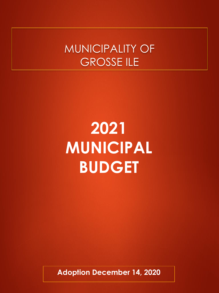### MUNICIPALITY OF GROSSE ILE

## **2021 MUNICIPAL BUDGET**

**Adoption December 14, 2020**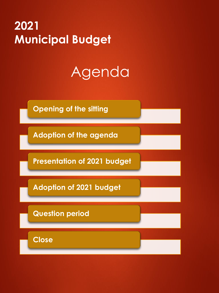### **2021 Municipal Budget**

### Agenda

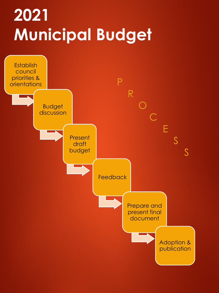# **2021 Municipal Budget**

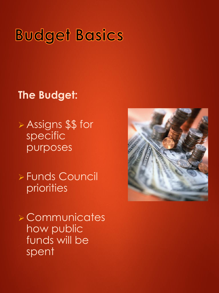### **Budget Basics**

### **The Budget:**

➢ Assigns \$\$ for specific purposes

➢ Funds Council priorities

➢ Communicates how public funds will be spent

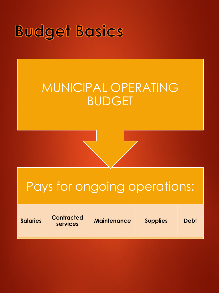### **Budget Basics**

### MUNICIPAL OPERATING BUDGET

### Pays for ongoing operations:

**Salaries Contracted** 

**services Maintenance Supplies Debt**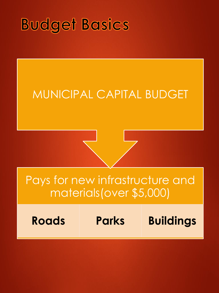### **Budget Basics**

### MUNICIPAL CAPITAL BUDGET

### Pays for new infrastructure and materials(over \$5,000)

**Roads Parks Buildings**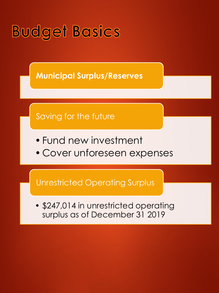

**Municipal Surplus/Reserves**



- •Fund new investment
- Cover unforeseen expenses

Unrestricted Operating Surplus

• \$247,014 in unrestricted operating surplus as of December 31 2019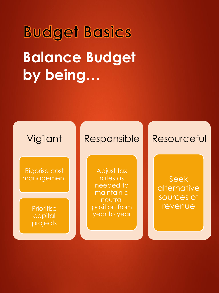# **Budget Basics Balance Budget by being…**



Rigorise cost management

> **Prioritise** capital projects

#### Responsible

Adjust tax rates as needed to maintain a neutral position from year to year

#### Resourceful

Seek alternative sources of revenue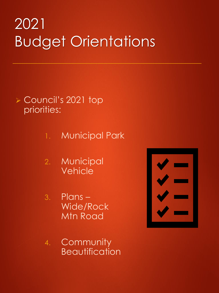### 2021 Budget Orientations

#### ➢ Council's 2021 top priorities:

- 1. Municipal Park
- 2. Municipal Vehicle

3. Plans – Wide/Rock Mtn Road

4. Community **Beautification** 

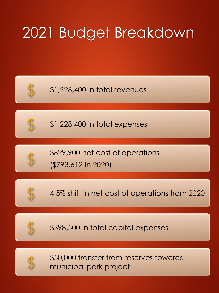### 2021 Budget Breakdown

\$1,228,400 in total revenues



\$1,228,400 in total expenses



\$829,900 net cost of operations (\$793,612 in 2020)



4.5% shift in net cost of operations from 2020



\$398,500 in total capital expenses



\$50,000 transfer from reserves towards municipal park project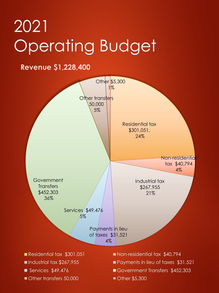#### **Revenue \$1,228,400**

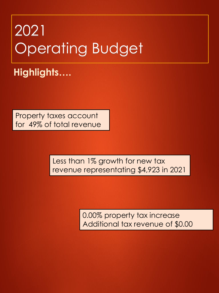**Highlights….**

Property taxes account for 49% of total revenue

> Less than 1% growth for new tax revenue representating \$4,923 in 2021

> > 0.00% property tax increase Additional tax revenue of \$0.00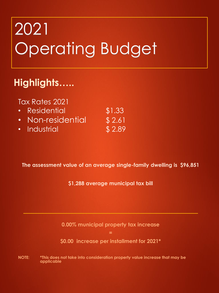### **Highlights…..**

Tax Rates 2021

| • Residential     | \$1.33 |
|-------------------|--------|
| • Non-residential | \$2.61 |
| • Industrial      | \$2.89 |

**The assessment value of an average single-family dwelling is \$96,851**

**\$1,288 average municipal tax bill**

**0.00% municipal property tax increase** 

**=**

**\$0.00 increase per installment for 2021\***

**NOTE: \*This does not take into consideration property value increase that may be applicable**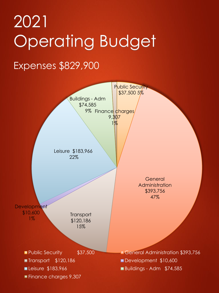### Expenses \$829,900

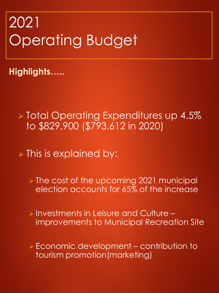**Highlights…..**

➢ Total Operating Expenditures up 4.5% to \$829,900 (\$793,612 in 2020)

➢ This is explained by:

➢ The cost of the upcoming 2021 municipal election accounts for 65% of the increase

➢ Investments in Leisure and Culture – improvements to Municipal Recreation Site

➢ Economic development – contribution to tourism promotion(marketing)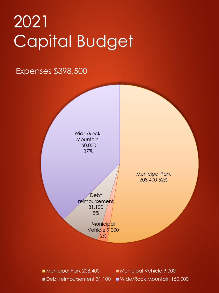# 2021 Capital Budget

#### Expenses \$398,500



Municipal Park 208,400 Municipal Vehicle 9,000 Debt reimbursement 31,100 Wide/Rock Mountain 150,000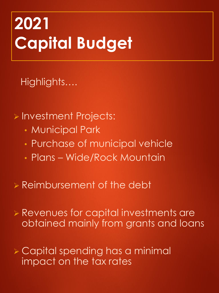# **2021 Capital Budget**

Highlights….

➢ Investment Projects:

- Municipal Park
- Purchase of municipal vehicle
- Plans Wide/Rock Mountain
- ➢ Reimbursement of the debt
- ➢ Revenues for capital investments are obtained mainly from grants and loans
- ➢ Capital spending has a minimal impact on the tax rates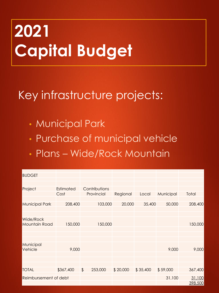# **2021 Capital Budget**

### Key infrastructure projects:

- Municipal Park
- Purchase of municipal vehicle
- Plans Wide/Rock Mountain

| <b>BUDGET</b>                     |                   |                             |          |          |           |                   |
|-----------------------------------|-------------------|-----------------------------|----------|----------|-----------|-------------------|
|                                   |                   |                             |          |          |           |                   |
| Project                           | Estimated<br>Cost | Contributions<br>Provincial | Regional | Local    | Municipal | Total             |
| <b>Municipal Park</b>             | 208,400           | 103,000                     | 20,000   | 35,400   | 50,000    | 208,400           |
|                                   |                   |                             |          |          |           |                   |
| Wide/Rock<br><b>Mountain Road</b> | 150,000           | 150,000                     |          |          |           | 150,000           |
|                                   |                   |                             |          |          |           |                   |
| Municipal<br>Vehicle              | 9,000             |                             |          |          | 9,000     | 9,000             |
|                                   |                   |                             |          |          |           |                   |
| <b>TOTAL</b>                      | \$367,400         | 253,000<br>$\sqrt{2}$       | \$20,000 | \$35,400 | \$59,000  | 367,400           |
| Reimbursement of debt             |                   |                             |          |          | 31,100    | 31,100<br>398,500 |